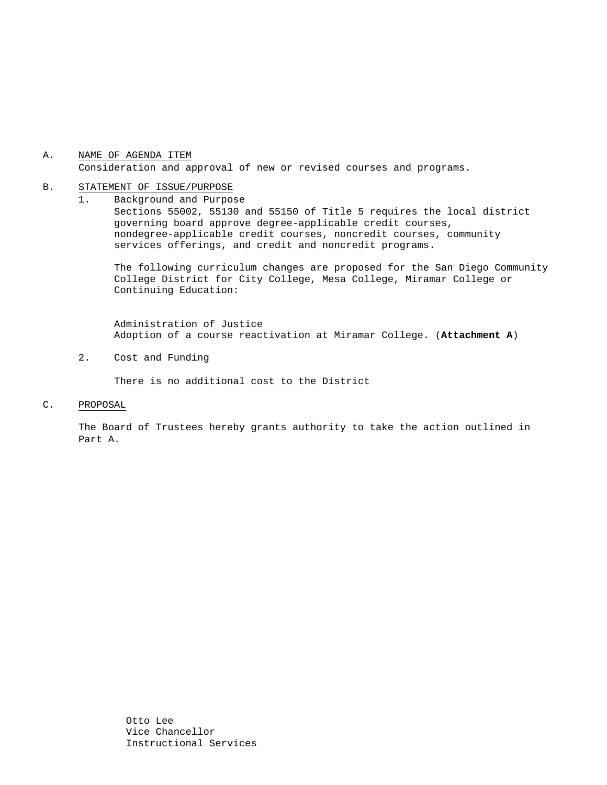## A. NAME OF AGENDA ITEM Consideration and approval of new or revised courses and programs.

#### B. STATEMENT OF ISSUE/PURPOSE

1. Background and Purpose Sections 55002, 55130 and 55150 of Title 5 requires the local district governing board approve degree-applicable credit courses, nondegree-applicable credit courses, noncredit courses, community services offerings, and credit and noncredit programs.

The following curriculum changes are proposed for the San Diego Community College District for City College, Mesa College, Miramar College or Continuing Education:

 Administration of Justice Adoption of a course reactivation at Miramar College. (**Attachment A**)

2. Cost and Funding

There is no additional cost to the District

C. PROPOSAL

The Board of Trustees hereby grants authority to take the action outlined in Part A.